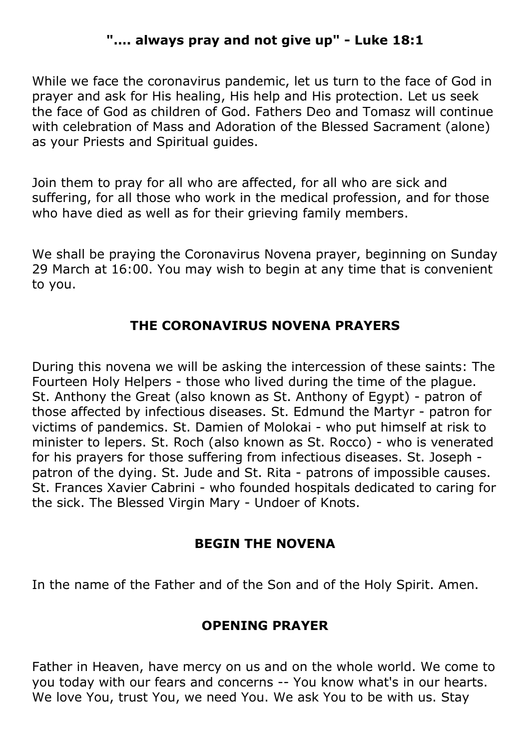# **"…. always pray and not give up" - Luke 18:1**

While we face the coronavirus pandemic, let us turn to the face of God in prayer and ask for His healing, His help and His protection. Let us seek the face of God as children of God. Fathers Deo and Tomasz will continue with celebration of Mass and Adoration of the Blessed Sacrament (alone) as your Priests and Spiritual guides.

Join them to pray for all who are affected, for all who are sick and suffering, for all those who work in the medical profession, and for those who have died as well as for their grieving family members.

We shall be praying the Coronavirus Novena prayer, beginning on Sunday 29 March at 16:00. You may wish to begin at any time that is convenient to you.

#### **THE CORONAVIRUS NOVENA PRAYERS**

During this novena we will be asking the intercession of these saints: The Fourteen Holy Helpers - those who lived during the time of the plague. St. Anthony the Great (also known as St. Anthony of Egypt) - patron of those affected by infectious diseases. St. Edmund the Martyr - patron for victims of pandemics. St. Damien of Molokai - who put himself at risk to minister to lepers. St. Roch (also known as St. Rocco) - who is venerated for his prayers for those suffering from infectious diseases. St. Joseph patron of the dying. St. Jude and St. Rita - patrons of impossible causes. St. Frances Xavier Cabrini - who founded hospitals dedicated to caring for the sick. The Blessed Virgin Mary - Undoer of Knots.

#### **BEGIN THE NOVENA**

In the name of the Father and of the Son and of the Holy Spirit. Amen.

#### **OPENING PRAYER**

Father in Heaven, have mercy on us and on the whole world. We come to you today with our fears and concerns -- You know what's in our hearts. We love You, trust You, we need You. We ask You to be with us. Stay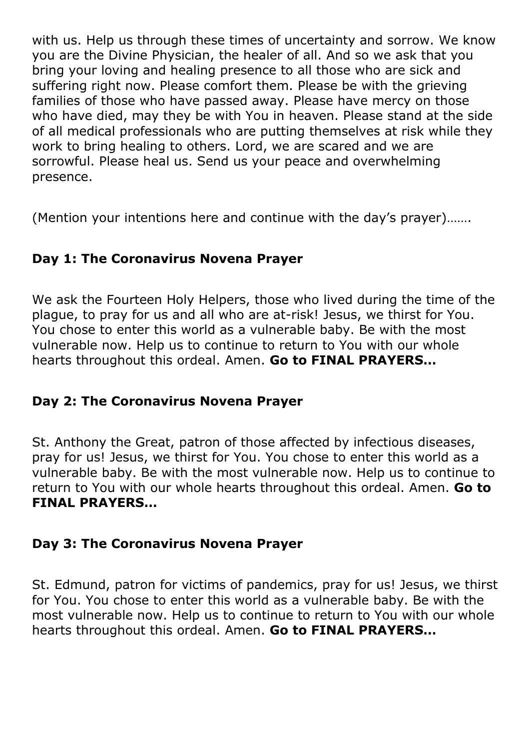with us. Help us through these times of uncertainty and sorrow. We know you are the Divine Physician, the healer of all. And so we ask that you bring your loving and healing presence to all those who are sick and suffering right now. Please comfort them. Please be with the grieving families of those who have passed away. Please have mercy on those who have died, may they be with You in heaven. Please stand at the side of all medical professionals who are putting themselves at risk while they work to bring healing to others. Lord, we are scared and we are sorrowful. Please heal us. Send us your peace and overwhelming presence.

(Mention your intentions here and continue with the day's prayer)…….

# **Day 1: The Coronavirus Novena Prayer**

We ask the Fourteen Holy Helpers, those who lived during the time of the plague, to pray for us and all who are at-risk! Jesus, we thirst for You. You chose to enter this world as a vulnerable baby. Be with the most vulnerable now. Help us to continue to return to You with our whole hearts throughout this ordeal. Amen. **Go to FINAL PRAYERS…**

## **Day 2: The Coronavirus Novena Prayer**

St. Anthony the Great, patron of those affected by infectious diseases, pray for us! Jesus, we thirst for You. You chose to enter this world as a vulnerable baby. Be with the most vulnerable now. Help us to continue to return to You with our whole hearts throughout this ordeal. Amen. **Go to FINAL PRAYERS…**

## **Day 3: The Coronavirus Novena Prayer**

St. Edmund, patron for victims of pandemics, pray for us! Jesus, we thirst for You. You chose to enter this world as a vulnerable baby. Be with the most vulnerable now. Help us to continue to return to You with our whole hearts throughout this ordeal. Amen. **Go to FINAL PRAYERS…**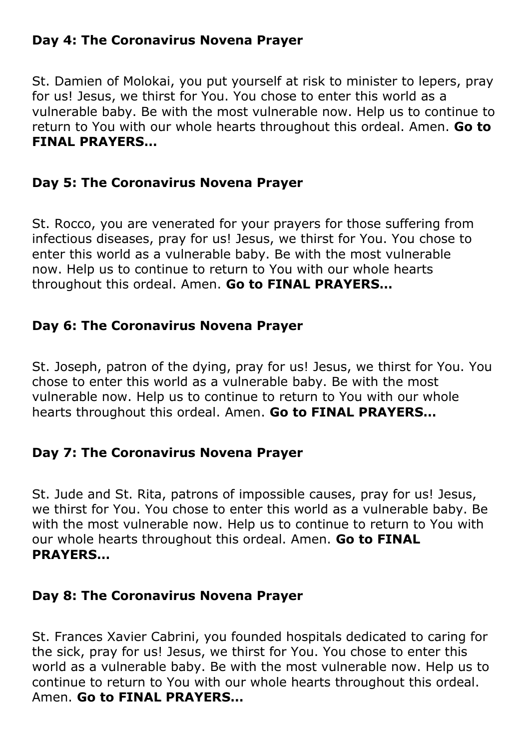## **Day 4: The Coronavirus Novena Prayer**

St. Damien of Molokai, you put yourself at risk to minister to lepers, pray for us! Jesus, we thirst for You. You chose to enter this world as a vulnerable baby. Be with the most vulnerable now. Help us to continue to return to You with our whole hearts throughout this ordeal. Amen. **Go to FINAL PRAYERS…**

## **Day 5: The Coronavirus Novena Prayer**

St. Rocco, you are venerated for your prayers for those suffering from infectious diseases, pray for us! Jesus, we thirst for You. You chose to enter this world as a vulnerable baby. Be with the most vulnerable now. Help us to continue to return to You with our whole hearts throughout this ordeal. Amen. **Go to FINAL PRAYERS…**

## **Day 6: The Coronavirus Novena Prayer**

St. Joseph, patron of the dying, pray for us! Jesus, we thirst for You. You chose to enter this world as a vulnerable baby. Be with the most vulnerable now. Help us to continue to return to You with our whole hearts throughout this ordeal. Amen. **Go to FINAL PRAYERS…**

## **Day 7: The Coronavirus Novena Prayer**

St. Jude and St. Rita, patrons of impossible causes, pray for us! Jesus, we thirst for You. You chose to enter this world as a vulnerable baby. Be with the most vulnerable now. Help us to continue to return to You with our whole hearts throughout this ordeal. Amen. **Go to FINAL PRAYERS…**

#### **Day 8: The Coronavirus Novena Prayer**

St. Frances Xavier Cabrini, you founded hospitals dedicated to caring for the sick, pray for us! Jesus, we thirst for You. You chose to enter this world as a vulnerable baby. Be with the most vulnerable now. Help us to continue to return to You with our whole hearts throughout this ordeal. Amen. **Go to FINAL PRAYERS…**